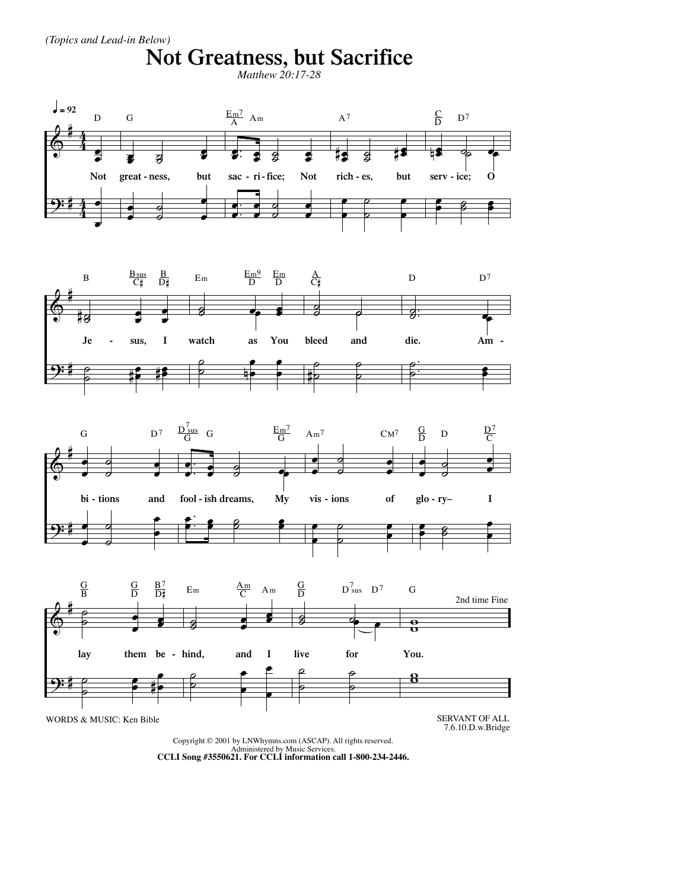(Topics and Lead-in Below)

## Not Greatness, but Sacrifice









Copyright © 2001 by LNWhymns.com (ASCAP). All rights reserved. Administered by Music Services.<br>CCLI Song #3550621. For CCLI information call 1-800-234-2446.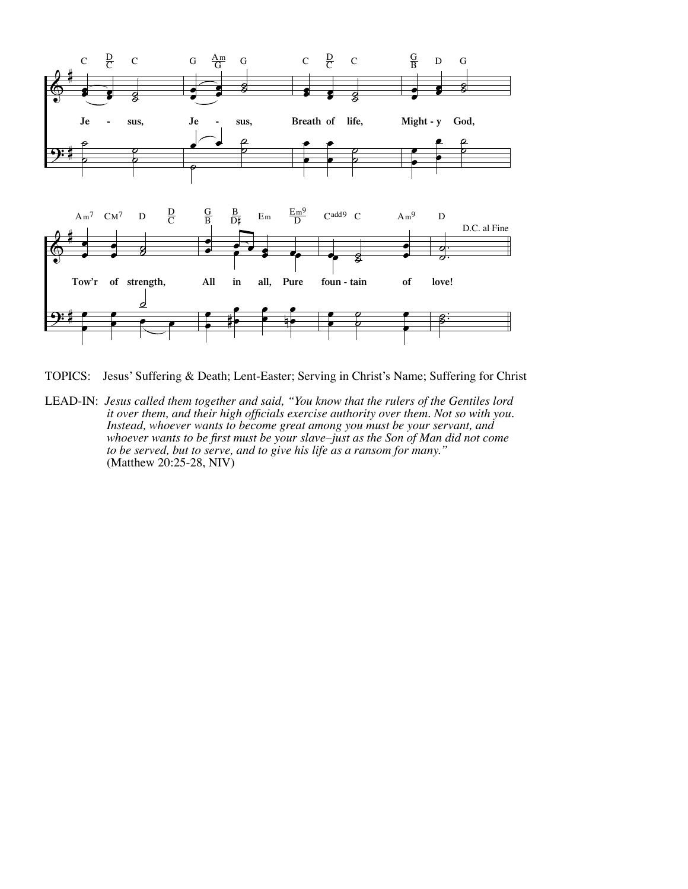

TOPICS: Jesus' Suffering & Death; Lent-Easter; Serving in Christ's Name; Suffering for Christ

LEAD-IN: *Jesus called them together and said, "You know that the rulers of the Gentiles lord it over them, and their high officials exercise authority over them. Not so with you. Instead, whoever wants to become great among you must be your servant, and whoever wants to be first must be your slave–just as the Son of Man did not come to be served, but to serve, and to give his life as a ransom for many."*  (Matthew 20:25-28, NIV)